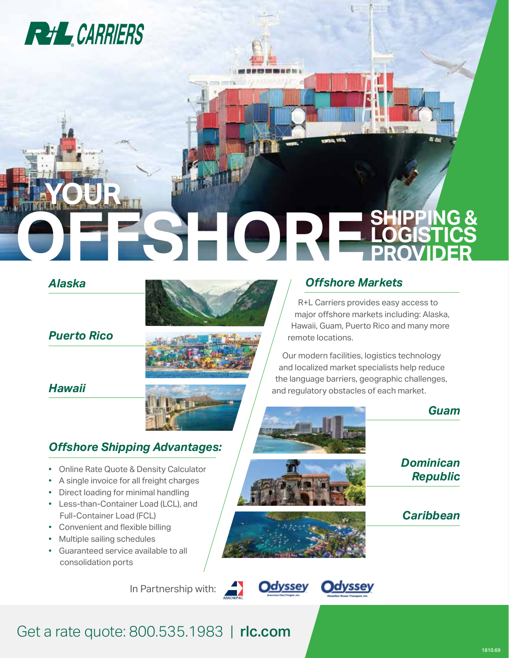

## *Alaska* **OFFSHORE YOUR SHIPPING & LOGISTICS PROVIDER**



*Puerto Rico*

*Hawaii*

### *Offshore Shipping Advantages:*

- Online Rate Quote & Density Calculator
- A single invoice for all freight charges
- Direct loading for minimal handling
- Less-than-Container Load (LCL), and Full-Container Load (FCL)
- Convenient and flexible billing
- Multiple sailing schedules
- Guaranteed service available to all consolidation ports

In Partnership with:





# *Offshore Markets*

R+L Carriers provides easy access to major offshore markets including: Alaska, Hawaii, Guam, Puerto Rico and many more remote locations.

Our modern facilities, logistics technology and localized market specialists help reduce the language barriers, geographic challenges, and regulatory obstacles of each market.

Get a rate quote: 800.535.1983 | rlc.com

*Caribbean*

*Dominican Republic*

*Guam*